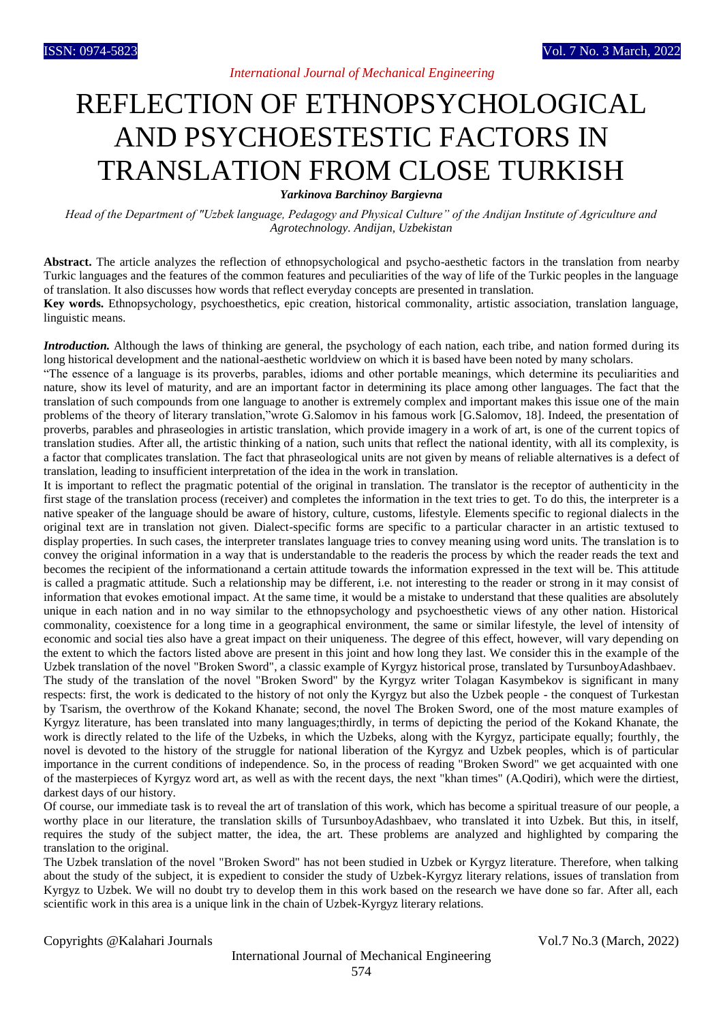## REFLECTION OF ETHNOPSYCHOLOGICAL AND PSYCHOESTESTIC FACTORS IN TRANSLATION FROM CLOSE TURKISH

*Yarkinova Barchinoy Bargievna*

*Head of the Department of "Uzbek language, Pedagogy and Physical Culture" of the Andijan Institute of Agriculture and Agrotechnology. Andijan, Uzbekistan*

**Abstract.** The article analyzes the reflection of ethnopsychological and psycho-aesthetic factors in the translation from nearby Turkic languages and the features of the common features and peculiarities of the way of life of the Turkic peoples in the language of translation. It also discusses how words that reflect everyday concepts are presented in translation.

**Key words.** Ethnopsychology, psychoesthetics, epic creation, historical commonality, artistic association, translation language, linguistic means.

*Introduction*. Although the laws of thinking are general, the psychology of each nation, each tribe, and nation formed during its long historical development and the national-aesthetic worldview on which it is based have been noted by many scholars.

"The essence of a language is its proverbs, parables, idioms and other portable meanings, which determine its peculiarities and nature, show its level of maturity, and are an important factor in determining its place among other languages. The fact that the translation of such compounds from one language to another is extremely complex and important makes this issue one of the main problems of the theory of literary translation,"wrote G.Salomov in his famous work [G.Salomov, 18]. Indeed, the presentation of proverbs, parables and phraseologies in artistic translation, which provide imagery in a work of art, is one of the current topics of translation studies. After all, the artistic thinking of a nation, such units that reflect the national identity, with all its complexity, is a factor that complicates translation. The fact that phraseological units are not given by means of reliable alternatives is a defect of translation, leading to insufficient interpretation of the idea in the work in translation.

It is important to reflect the pragmatic potential of the original in translation. The translator is the receptor of authenticity in the first stage of the translation process (receiver) and completes the information in the text tries to get. To do this, the interpreter is a native speaker of the language should be aware of history, culture, customs, lifestyle. Elements specific to regional dialects in the original text are in translation not given. Dialect-specific forms are specific to a particular character in an artistic textused to display properties. In such cases, the interpreter translates language tries to convey meaning using word units. The translation is to convey the original information in a way that is understandable to the readeris the process by which the reader reads the text and becomes the recipient of the informationand a certain attitude towards the information expressed in the text will be. This attitude is called a pragmatic attitude. Such a relationship may be different, i.e. not interesting to the reader or strong in it may consist of information that evokes emotional impact. At the same time, it would be a mistake to understand that these qualities are absolutely unique in each nation and in no way similar to the ethnopsychology and psychoesthetic views of any other nation. Historical commonality, coexistence for a long time in a geographical environment, the same or similar lifestyle, the level of intensity of economic and social ties also have a great impact on their uniqueness. The degree of this effect, however, will vary depending on the extent to which the factors listed above are present in this joint and how long they last. We consider this in the example of the Uzbek translation of the novel "Broken Sword", a classic example of Kyrgyz historical prose, translated by TursunboyAdashbaev. The study of the translation of the novel "Broken Sword" by the Kyrgyz writer Tolagan Kasymbekov is significant in many respects: first, the work is dedicated to the history of not only the Kyrgyz but also the Uzbek people - the conquest of Turkestan by Tsarism, the overthrow of the Kokand Khanate; second, the novel The Broken Sword, one of the most mature examples of Kyrgyz literature, has been translated into many languages;thirdly, in terms of depicting the period of the Kokand Khanate, the work is directly related to the life of the Uzbeks, in which the Uzbeks, along with the Kyrgyz, participate equally; fourthly, the novel is devoted to the history of the struggle for national liberation of the Kyrgyz and Uzbek peoples, which is of particular importance in the current conditions of independence. So, in the process of reading "Broken Sword" we get acquainted with one of the masterpieces of Kyrgyz word art, as well as with the recent days, the next "khan times" (A.Qodiri), which were the dirtiest, darkest days of our history.

Of course, our immediate task is to reveal the art of translation of this work, which has become a spiritual treasure of our people, a worthy place in our literature, the translation skills of TursunboyAdashbaev, who translated it into Uzbek. But this, in itself, requires the study of the subject matter, the idea, the art. These problems are analyzed and highlighted by comparing the translation to the original.

The Uzbek translation of the novel "Broken Sword" has not been studied in Uzbek or Kyrgyz literature. Therefore, when talking about the study of the subject, it is expedient to consider the study of Uzbek-Kyrgyz literary relations, issues of translation from Kyrgyz to Uzbek. We will no doubt try to develop them in this work based on the research we have done so far. After all, each scientific work in this area is a unique link in the chain of Uzbek-Kyrgyz literary relations.

Copyrights @Kalahari Journals Vol.7 No.3 (March, 2022)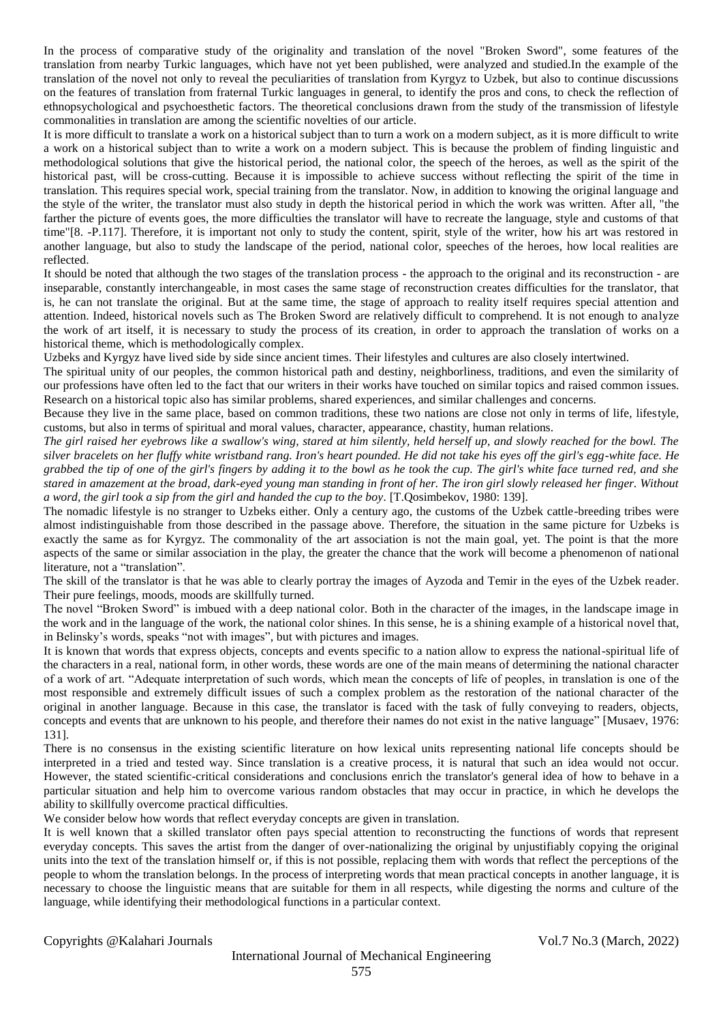In the process of comparative study of the originality and translation of the novel "Broken Sword", some features of the translation from nearby Turkic languages, which have not yet been published, were analyzed and studied.In the example of the translation of the novel not only to reveal the peculiarities of translation from Kyrgyz to Uzbek, but also to continue discussions on the features of translation from fraternal Turkic languages in general, to identify the pros and cons, to check the reflection of ethnopsychological and psychoesthetic factors. The theoretical conclusions drawn from the study of the transmission of lifestyle commonalities in translation are among the scientific novelties of our article.

It is more difficult to translate a work on a historical subject than to turn a work on a modern subject, as it is more difficult to write a work on a historical subject than to write a work on a modern subject. This is because the problem of finding linguistic and methodological solutions that give the historical period, the national color, the speech of the heroes, as well as the spirit of the historical past, will be cross-cutting. Because it is impossible to achieve success without reflecting the spirit of the time in translation. This requires special work, special training from the translator. Now, in addition to knowing the original language and the style of the writer, the translator must also study in depth the historical period in which the work was written. After all, "the farther the picture of events goes, the more difficulties the translator will have to recreate the language, style and customs of that time"[8. -P.117]. Therefore, it is important not only to study the content, spirit, style of the writer, how his art was restored in another language, but also to study the landscape of the period, national color, speeches of the heroes, how local realities are reflected.

It should be noted that although the two stages of the translation process - the approach to the original and its reconstruction - are inseparable, constantly interchangeable, in most cases the same stage of reconstruction creates difficulties for the translator, that is, he can not translate the original. But at the same time, the stage of approach to reality itself requires special attention and attention. Indeed, historical novels such as The Broken Sword are relatively difficult to comprehend. It is not enough to analyze the work of art itself, it is necessary to study the process of its creation, in order to approach the translation of works on a historical theme, which is methodologically complex.

Uzbeks and Kyrgyz have lived side by side since ancient times. Their lifestyles and cultures are also closely intertwined.

The spiritual unity of our peoples, the common historical path and destiny, neighborliness, traditions, and even the similarity of our professions have often led to the fact that our writers in their works have touched on similar topics and raised common issues. Research on a historical topic also has similar problems, shared experiences, and similar challenges and concerns.

Because they live in the same place, based on common traditions, these two nations are close not only in terms of life, lifestyle, customs, but also in terms of spiritual and moral values, character, appearance, chastity, human relations.

*The girl raised her eyebrows like a swallow's wing, stared at him silently, held herself up, and slowly reached for the bowl. The silver bracelets on her fluffy white wristband rang. Iron's heart pounded. He did not take his eyes off the girl's egg-white face. He grabbed the tip of one of the girl's fingers by adding it to the bowl as he took the cup. The girl's white face turned red, and she stared in amazement at the broad, dark-eyed young man standing in front of her. The iron girl slowly released her finger. Without a word, the girl took a sip from the girl and handed the cup to the boy.* [T.Qosimbekov, 1980: 139].

The nomadic lifestyle is no stranger to Uzbeks either. Only a century ago, the customs of the Uzbek cattle-breeding tribes were almost indistinguishable from those described in the passage above. Therefore, the situation in the same picture for Uzbeks is exactly the same as for Kyrgyz. The commonality of the art association is not the main goal, yet. The point is that the more aspects of the same or similar association in the play, the greater the chance that the work will become a phenomenon of national literature, not a "translation".

The skill of the translator is that he was able to clearly portray the images of Ayzoda and Temir in the eyes of the Uzbek reader. Their pure feelings, moods, moods are skillfully turned.

The novel "Broken Sword" is imbued with a deep national color. Both in the character of the images, in the landscape image in the work and in the language of the work, the national color shines. In this sense, he is a shining example of a historical novel that, in Belinsky's words, speaks "not with images", but with pictures and images.

It is known that words that express objects, concepts and events specific to a nation allow to express the national-spiritual life of the characters in a real, national form, in other words, these words are one of the main means of determining the national character of a work of art. "Adequate interpretation of such words, which mean the concepts of life of peoples, in translation is one of the most responsible and extremely difficult issues of such a complex problem as the restoration of the national character of the original in another language. Because in this case, the translator is faced with the task of fully conveying to readers, objects, concepts and events that are unknown to his people, and therefore their names do not exist in the native language" [Musaev, 1976: 131].

There is no consensus in the existing scientific literature on how lexical units representing national life concepts should be interpreted in a tried and tested way. Since translation is a creative process, it is natural that such an idea would not occur. However, the stated scientific-critical considerations and conclusions enrich the translator's general idea of how to behave in a particular situation and help him to overcome various random obstacles that may occur in practice, in which he develops the ability to skillfully overcome practical difficulties.

We consider below how words that reflect everyday concepts are given in translation.

It is well known that a skilled translator often pays special attention to reconstructing the functions of words that represent everyday concepts. This saves the artist from the danger of over-nationalizing the original by unjustifiably copying the original units into the text of the translation himself or, if this is not possible, replacing them with words that reflect the perceptions of the people to whom the translation belongs. In the process of interpreting words that mean practical concepts in another language, it is necessary to choose the linguistic means that are suitable for them in all respects, while digesting the norms and culture of the language, while identifying their methodological functions in a particular context.

Copyrights @Kalahari Journals Vol.7 No.3 (March, 2022)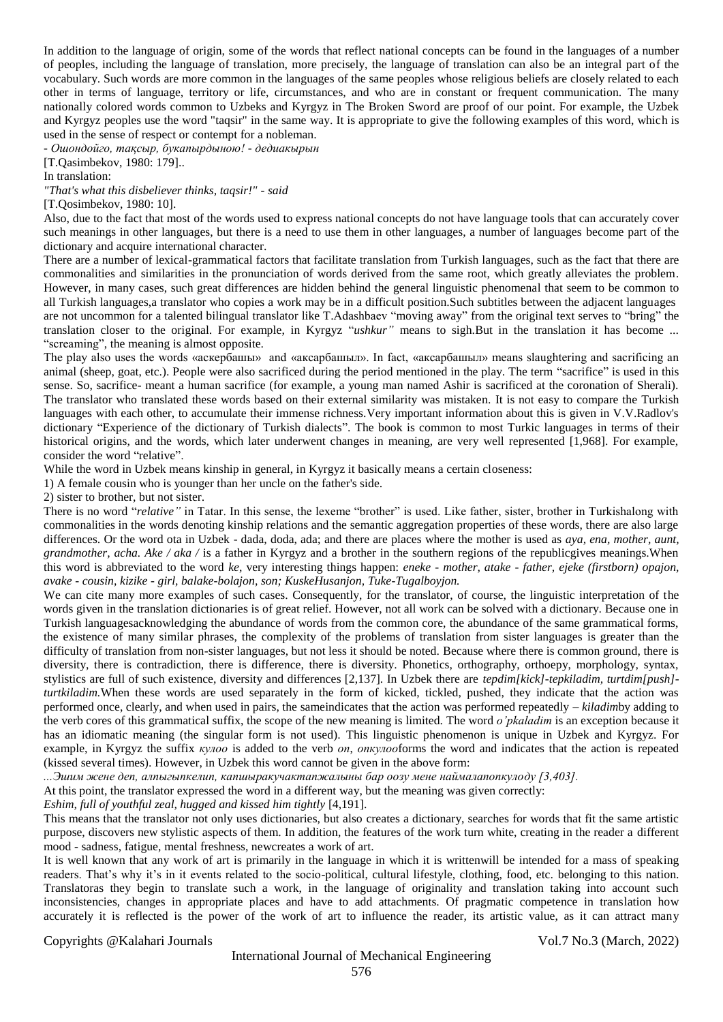In addition to the language of origin, some of the words that reflect national concepts can be found in the languages of a number of peoples, including the language of translation, more precisely, the language of translation can also be an integral part of the vocabulary. Such words are more common in the languages of the same peoples whose religious beliefs are closely related to each other in terms of language, territory or life, circumstances, and who are in constant or frequent communication. The many nationally colored words common to Uzbeks and Kyrgyz in The Broken Sword are proof of our point. For example, the Uzbek and Kyrgyz peoples use the word "taqsir" in the same way. It is appropriate to give the following examples of this word, which is used in the sense of respect or contempt for a nobleman.

*- Ошондойго, тақсыр, букапырдыною! - дедиакырын*

[T.Qasimbekov, 1980: 179]..

In translation:

*"That's what this disbeliever thinks, taqsir!" - said* 

[T.Oosimbekov, 1980: 10].

Also, due to the fact that most of the words used to express national concepts do not have language tools that can accurately cover such meanings in other languages, but there is a need to use them in other languages, a number of languages become part of the dictionary and acquire international character.

There are a number of lexical-grammatical factors that facilitate translation from Turkish languages, such as the fact that there are commonalities and similarities in the pronunciation of words derived from the same root, which greatly alleviates the problem. However, in many cases, such great differences are hidden behind the general linguistic phenomenal that seem to be common to all Turkish languages,a translator who copies a work may be in a difficult position.Such subtitles between the adjacent languages are not uncommon for a talented bilingual translator like T.Adashbaev "moving away" from the original text serves to "bring" the translation closer to the original. For example, in Kyrgyz "*ushkur"* means to sigh.But in the translation it has become ... "screaming", the meaning is almost opposite.

The play also uses the words «аскербашы» and «аксарбашыл». In fact, «аксарбашыл» means slaughtering and sacrificing an animal (sheep, goat, etc.). People were also sacrificed during the period mentioned in the play. The term "sacrifice" is used in this sense. So, sacrifice- meant a human sacrifice (for example, a young man named Ashir is sacrificed at the coronation of Sherali). The translator who translated these words based on their external similarity was mistaken. It is not easy to compare the Turkish languages with each other, to accumulate their immense richness.Very important information about this is given in V.V.Radlov's dictionary "Experience of the dictionary of Turkish dialects". The book is common to most Turkic languages in terms of their historical origins, and the words, which later underwent changes in meaning, are very well represented [1,968]. For example, consider the word "relative".

While the word in Uzbek means kinship in general, in Kyrgyz it basically means a certain closeness:

1) A female cousin who is younger than her uncle on the father's side.

2) sister to brother, but not sister.

There is no word "relative" in Tatar. In this sense, the lexeme "brother" is used. Like father, sister, brother in Turkishalong with commonalities in the words denoting kinship relations and the semantic aggregation properties of these words, there are also large differences. Or the word ota in Uzbek - dada, doda, ada; and there are places where the mother is used as *aya, ena, mother, aunt, grandmother, acha. Ake / aka /* is a father in Kyrgyz and a brother in the southern regions of the republicgives meanings.When this word is abbreviated to the word *ke*, very interesting things happen: *eneke - mother, atake - father, ejeke (firstborn) opajon, avake - cousin, kizike - girl, balake-bolajon, son; KuskeHusanjon, Tuke-Tugalboyjon.*

We can cite many more examples of such cases. Consequently, for the translator, of course, the linguistic interpretation of the words given in the translation dictionaries is of great relief. However, not all work can be solved with a dictionary. Because one in Turkish languagesacknowledging the abundance of words from the common core, the abundance of the same grammatical forms, the existence of many similar phrases, the complexity of the problems of translation from sister languages is greater than the difficulty of translation from non-sister languages, but not less it should be noted. Because where there is common ground, there is diversity, there is contradiction, there is difference, there is diversity. Phonetics, orthography, orthoepy, morphology, syntax, stylistics are full of such existence, diversity and differences [2,137]. In Uzbek there are *tepdim[kick]-tepkiladim, turtdim[push] turtkiladim.*When these words are used separately in the form of kicked, tickled, pushed, they indicate that the action was performed once, clearly, and when used in pairs, the sameindicates that the action was performed repeatedly *– kiladim*by adding to the verb cores of this grammatical suffix, the scope of the new meaning is limited. The word *o'pkaladim* is an exception because it has an idiomatic meaning (the singular form is not used). This linguistic phenomenon is unique in Uzbek and Kyrgyz. For example, in Kyrgyz the suffix *кулоо* is added to the verb *оп*, *опкулоо*forms the word and indicates that the action is repeated (kissed several times). However, in Uzbek this word cannot be given in the above form:

*...Эшим жене деп, алпыгыпкелип, капшыракучактапжалыны бар оозу мене наймалапопкулоду [3,403].*

At this point, the translator expressed the word in a different way, but the meaning was given correctly:

*Eshim, full of youthful zeal, hugged and kissed him tightly* [4,191].

This means that the translator not only uses dictionaries, but also creates a dictionary, searches for words that fit the same artistic purpose, discovers new stylistic aspects of them. In addition, the features of the work turn white, creating in the reader a different mood - sadness, fatigue, mental freshness, newcreates a work of art.

It is well known that any work of art is primarily in the language in which it is writtenwill be intended for a mass of speaking readers. That's why it's in it events related to the socio-political, cultural lifestyle, clothing, food, etc. belonging to this nation. Translatoras they begin to translate such a work, in the language of originality and translation taking into account such inconsistencies, changes in appropriate places and have to add attachments. Of pragmatic competence in translation how accurately it is reflected is the power of the work of art to influence the reader, its artistic value, as it can attract many

Copyrights @Kalahari Journals Vol.7 No.3 (March, 2022)

## International Journal of Mechanical Engineering